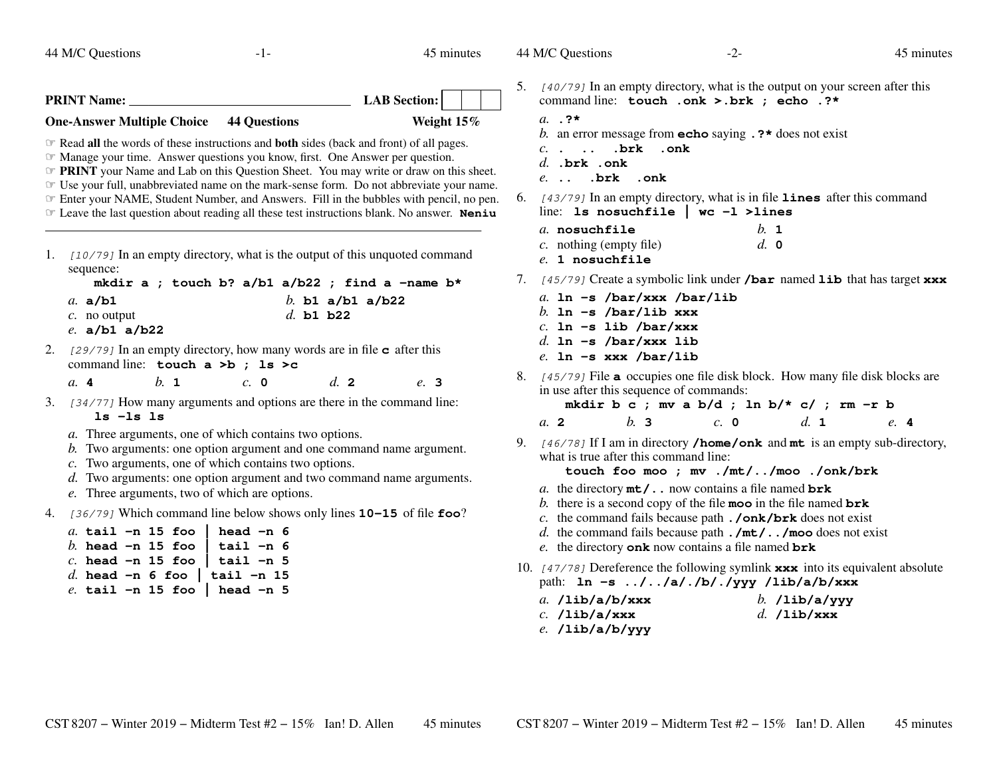44 M/C Questions

 $-1-$  45

45 minutes

44 M/C Questions

45 minutes

| <b>PRINT Name:</b>                             | LAB Section:  |  |
|------------------------------------------------|---------------|--|
| <b>One-Answer Multiple Choice 44 Questions</b> | Weight $15\%$ |  |

 ☞ Read **all** the words of these instructions and **both** sides (back and front) of all pages. ☞ Manage your time. Answer questions you know, first. One Answer per question.

*The PRINT* your Name and Lab on this Question Sheet. You may write or draw on this sheet. The your full unabbreviated name on the mark-sense form. Do not abbreviate your name

☞ Use your full, unabbreviated name on the mark-sense form. Do not abbreviate your name.

<sup>☞</sup> Enter your NAME, Student Number, and Answers. Fill in the bubbles with pencil, no pen.<br>*☞* Leave the last question about reading all these test instructions blank. No answer. **Noniu** 

☞ Leave the last question about reading all these test instructions blank. No answer. **Neniu**

1. [10/79] In an empty directory, what is the output of this unquoted command sequence:

| mkdir a ; touch b? $a/b1$ $a/b22$ ; find a -name b* |  |             |                  |  |
|-----------------------------------------------------|--|-------------|------------------|--|
| a. $a/b1$                                           |  |             | b. b1 a/b1 a/b22 |  |
| c. no output                                        |  | d. $b1 b22$ |                  |  |
| e. $a/b1$ a/b22                                     |  |             |                  |  |

- 2. [29/79] In an empty directory, how many words are in file **<sup>c</sup>** after this command line: **touch a >b ; ls >c**
	- *a.* **<sup>4</sup>***b.* **<sup>1</sup>** *c.* **<sup>0</sup>** *d.* **<sup>2</sup>** *e.* **<sup>3</sup>**
- 3. [34/77] How many arguments and options are there in the command line: **ls -ls ls**
	- *a.* Three arguments, one of which contains two options.
	- *b*. Two arguments: one option argument and one command name argument.
	- *c*. Two arguments, one of which contains two options.
	- *d.* Two arguments: one option argument and two command name arguments.
	- *e.* Three arguments, two of which are options.
- 4. [36/79] Which command line below shows only lines **10-15** of file **foo**?

|  |  | a. tail -n 15 foo   head -n 6   |
|--|--|---------------------------------|
|  |  | b. head -n 15 foo   tail -n 6   |
|  |  | c. head -n 15 foo   tail -n 5   |
|  |  | d. head -n 6 foo   tail -n 15   |
|  |  | $e.$ tail -n 15 foo   head -n 5 |

5. [40/79] In an empty directory, what is the output on your screen after this command line: **touch .onk >.brk ; echo .?\***

- *a.* **.?\***
- *b.* an error message from **echo** saying **.?\*** does not exist
- *c.* **. .. .brk .onk**
- *d.* **.brk .onk**
- *e.* **.. .brk .onk**
- 6. [43/79] In an empty directory, what is in file **lines** after this command line: **ls nosuchfile | wc -l >lines**

| a. nosuchfile             | $h_{\cdot}$ 1 |  |
|---------------------------|---------------|--|
| $c.$ nothing (empty file) | $d$ , 0       |  |
| $e$ . 1 nosuchfile        |               |  |

- 7. [45/79] Create a symbolic link under **/bar** named **lib** that has target **xxx**
	- *a.* **ln -s /bar/xxx /bar/lib***b.* **ln -s /bar/lib xxx** *c.* **ln -s lib /bar/xxx** *d.* **ln -s /bar/xxx lib***e.* **ln -s xxx /bar/lib**
- 8. [45/79] File **<sup>a</sup>** occupies one file disk block. How many file disk blocks are in use after this sequence of commands:

**mkdir b c ; mv a b/d ; ln b/\* c/ ; rm -r b**

 $e. 4$ *a.* **<sup>2</sup>***b.* **<sup>3</sup>** *c.* **<sup>0</sup>** *d.* **<sup>1</sup>** *e.* **<sup>4</sup>**

9. [46/78] If I am in directory **/home/onk** and **mt** is an empty sub-directory, what is true after this command line:

**touch foo moo ; mv ./mt/../moo ./onk/brk**

- *a.* the directory **mt/..** now contains a file named **brk**
- *b.* there is a second copy of the file **moo** in the file named **brk**
- *c.* the command fails because path **./onk/brk** does not exist
- *d.* the command fails because path **./mt/../moo** does not exist
- *e.* the directory **onk** now contains a file named **brk**
- 10. [47/78] Dereference the following symlink **xxx** into its equivalent absolute path: **ln -s ../../a/./b/./yyy /lib/a/b/xxx**

| a. $/lib/a/b/xxx$ | b. $/$ lib $/$ a $/$ yyy |
|-------------------|--------------------------|
|                   |                          |

- *c.* **/lib/a/xxx**
- *d.* **/lib/xxx**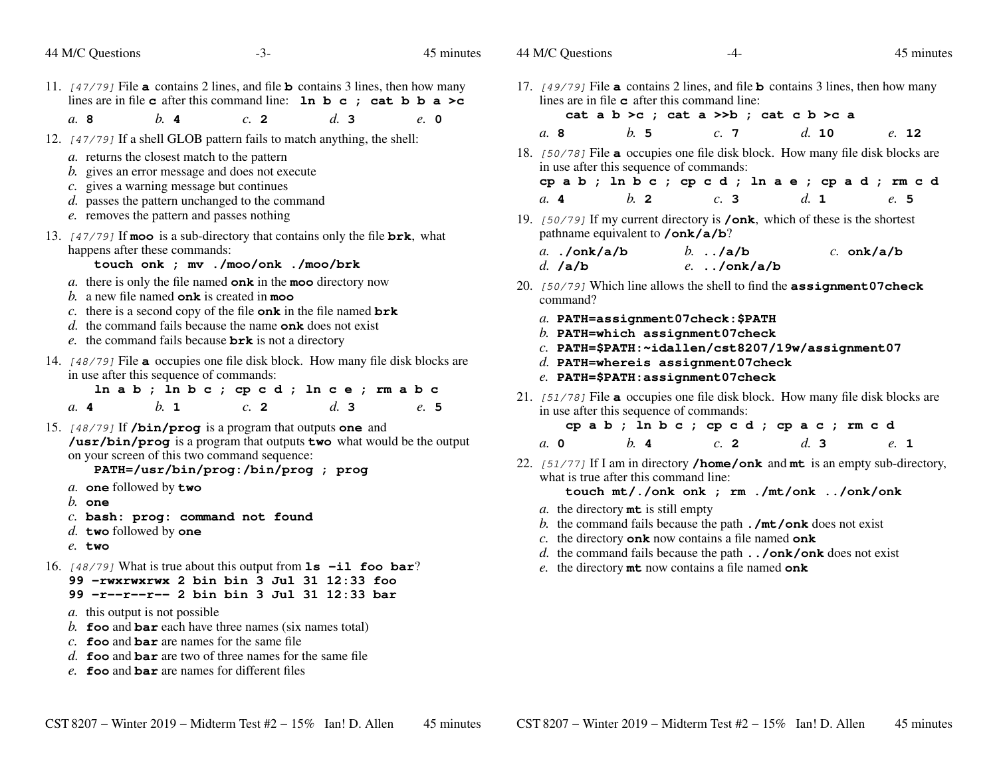| 44 M/C Questions<br>$-3-$                                                                                                                                                                                                                                                                                                                                                                                                                                                                                                                                                                                                                                                                                                                                                                                                               | 45 minutes | 44 M/C Questions                                                                                                                                                                                                                                                                                                                                                                                                                                                                                                                                         | -4-                                                                                                                                                                                                                                                                                                     | 45 minutes                                                                       |
|-----------------------------------------------------------------------------------------------------------------------------------------------------------------------------------------------------------------------------------------------------------------------------------------------------------------------------------------------------------------------------------------------------------------------------------------------------------------------------------------------------------------------------------------------------------------------------------------------------------------------------------------------------------------------------------------------------------------------------------------------------------------------------------------------------------------------------------------|------------|----------------------------------------------------------------------------------------------------------------------------------------------------------------------------------------------------------------------------------------------------------------------------------------------------------------------------------------------------------------------------------------------------------------------------------------------------------------------------------------------------------------------------------------------------------|---------------------------------------------------------------------------------------------------------------------------------------------------------------------------------------------------------------------------------------------------------------------------------------------------------|----------------------------------------------------------------------------------|
| 11. $[47/79]$ File <b>a</b> contains 2 lines, and file <b>b</b> contains 3 lines, then how many<br>lines are in file c after this command line: $\ln b c$ ; cat b b a >c                                                                                                                                                                                                                                                                                                                                                                                                                                                                                                                                                                                                                                                                |            | 17. $[49/79]$ File <b>a</b> contains 2 lines, and file <b>b</b> contains 3 lines, then how many<br>lines are in file $\sigma$ after this command line:                                                                                                                                                                                                                                                                                                                                                                                                   |                                                                                                                                                                                                                                                                                                         |                                                                                  |
| b.4<br>a. 8<br>d.3<br>c. 2                                                                                                                                                                                                                                                                                                                                                                                                                                                                                                                                                                                                                                                                                                                                                                                                              | $e$ , 0    |                                                                                                                                                                                                                                                                                                                                                                                                                                                                                                                                                          | cat a $b > c$ ; cat a $>> b$ ; cat c $b > c$ a                                                                                                                                                                                                                                                          |                                                                                  |
| 12. [47/79] If a shell GLOB pattern fails to match anything, the shell:                                                                                                                                                                                                                                                                                                                                                                                                                                                                                                                                                                                                                                                                                                                                                                 |            | b.5<br>a. 8                                                                                                                                                                                                                                                                                                                                                                                                                                                                                                                                              | c.7                                                                                                                                                                                                                                                                                                     | d. 10<br>e. 12                                                                   |
| a. returns the closest match to the pattern<br>b. gives an error message and does not execute<br>c. gives a warning message but continues<br>d. passes the pattern unchanged to the command<br>e. removes the pattern and passes nothing<br>13. $[47/79]$ If moo is a sub-directory that contains only the file brk, what<br>happens after these commands:<br>touch onk ; mv ./moo/onk ./moo/brk<br>a. there is only the file named onk in the moo directory now<br>b. a new file named onk is created in moo<br>c. there is a second copy of the file onk in the file named $brk$<br>$d$ . the command fails because the name onk does not exist<br>e. the command fails because $brk$ is not a directory<br>14. [48/79] File a occupies one file disk block. How many file disk blocks are<br>in use after this sequence of commands: |            | 18. [50/78] File a occupies one file disk block. How many file disk blocks are<br>in use after this sequence of commands:<br>$b$ . 2<br>a.4<br>19. $[50/79]$ If my current directory is <b>/onk</b> , which of these is the shortest<br>pathname equivalent to /onk/a/b?<br>$a.$ ./onk/a/b<br>$d.$ /a/b<br>20. [50/79] Which line allows the shell to find the assignment 07 check<br>command?<br>a. PATH=assignment07check:\$PATH<br>$b$ . PATH=which assignment07check<br>$d.$ PATH=whereis assignment07check<br>$e.$ PATH= $$$ PATH:assignment07check | c.3<br>b. $./a/b$<br>$e.$ /onk/a/b<br>$c.$ PATH=\$PATH: $\sim$ idallen/cst8207/19w/assignment07                                                                                                                                                                                                         | cpab; ln b c ; cp c d ; ln a e ; cp a d ; rm c d<br>d. 1<br>e. 5<br>$c.$ onk/a/b |
| lnab; lnbc; cpcd; lnce; rmabc<br>b. 1<br>d.3<br>$c$ . 2<br>a. 4<br>15. [48/79] If /bin/prog is a program that outputs one and<br>/usr/bin/prog is a program that outputs two what would be the output                                                                                                                                                                                                                                                                                                                                                                                                                                                                                                                                                                                                                                   | e. 5       | 21. [51/78] File a occupies one file disk block. How many file disk blocks are<br>in use after this sequence of commands:<br>b.4<br>a. 0                                                                                                                                                                                                                                                                                                                                                                                                                 | cpab; ln bc; cpcd; cpac; rmcd<br>$c$ . 2                                                                                                                                                                                                                                                                | d.3<br>e. 1                                                                      |
| on your screen of this two command sequence:<br>PATH=/usr/bin/prog:/bin/prog ; prog<br>a. one followed by two<br>$b.$ one<br>c. bash: prog: command not found<br>d. two followed by one<br>$e.$ two<br>16. $[48/79]$ What is true about this output from $1s$ -il foo bar?<br>99 - rwxrwxrwx 2 bin bin 3 Jul 31 12:33 foo<br>99 -r--r--r-- 2 bin bin 3 Jul 31 12:33 bar<br><i>a</i> . this output is not possible<br>b. foo and bar each have three names (six names total)<br>c. $\epsilon$ foo and bar are names for the same file<br>d. foo and bar are two of three names for the same file<br>$e$ . foo and bar are names for different files                                                                                                                                                                                      |            | 22. $[51/77]$ If I am in directory /home/onk and mt is an empty sub-directory,<br>what is true after this command line:<br><i>a</i> . the directory <b>mt</b> is still empty                                                                                                                                                                                                                                                                                                                                                                             | touch mt/./onk onk ; rm ./mt/onk /onk/onk<br>b. the command fails because the path $\cdot$ /mt/onk does not exist<br>c. the directory onk now contains a file named onk<br>d. the command fails because the path $\ldots$ / onk/onk does not exist<br>e. the directory mt now contains a file named onk |                                                                                  |

45 minutes

44 M/C Questions

45 minutes

44 M/C Questions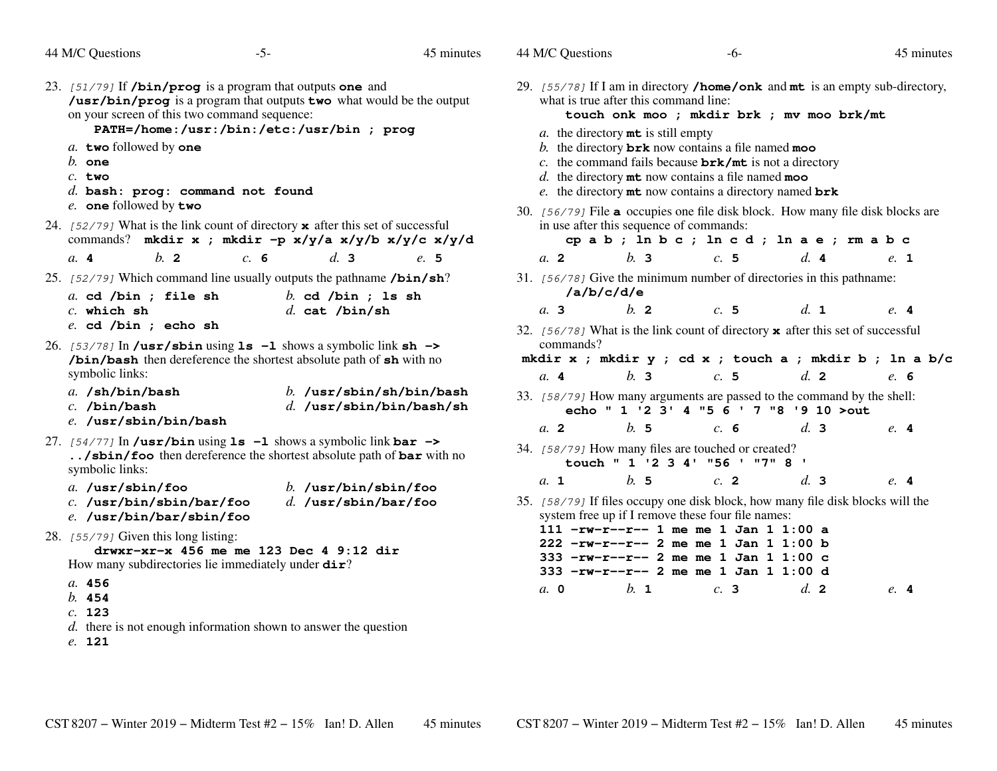|  |  | 44 M/C Questions |
|--|--|------------------|
|--|--|------------------|

| 23. [51/79] If <b>/bin/prog</b> is a program that outputs one and<br>/usr/bin/prog is a program that outputs two what would be the output<br>on your screen of this two command sequence:<br>PATH=/home:/usr:/bin:/etc:/usr/bin ; prog | 29. $[55/78]$ If I am in directory <b>/home/onk</b> and <b>mt</b> is an empty sub-directory,<br>what is true after this command line:<br>touch onk moo ; mkdir brk ; mv moo brk/mt<br><i>a</i> . the directory <b>mt</b> is still empty   |  |  |  |  |
|----------------------------------------------------------------------------------------------------------------------------------------------------------------------------------------------------------------------------------------|-------------------------------------------------------------------------------------------------------------------------------------------------------------------------------------------------------------------------------------------|--|--|--|--|
| a. two followed by one<br>$b.$ one<br>$c.$ two<br>$d.$ bash: $proj:$ command not found<br>e. one followed by two                                                                                                                       | b. the directory $brk$ now contains a file named moo<br>c. the command fails because $brk/mt$ is not a directory<br>$d.$ the directory $m$ t now contains a file named moo<br>e. the directory $m$ t now contains a directory named $brk$ |  |  |  |  |
| 24. [52/79] What is the link count of directory $\boldsymbol{\mathsf{x}}$ after this set of successful<br>commands? mkdir x ; mkdir -p x/y/a x/y/b x/y/c x/y/d                                                                         | 30. [56/79] File a occupies one file disk block. How many file disk blocks are<br>in use after this sequence of commands:<br>cpab; ln bc; ln cd; ln ae; rm abc                                                                            |  |  |  |  |
| $b$ . 2<br>d.3<br>a. 4<br>c.6<br>e. 5                                                                                                                                                                                                  | b.3<br>d.4<br>a. 2<br>c.5<br>e. 1                                                                                                                                                                                                         |  |  |  |  |
| 25. [52/79] Which command line usually outputs the pathname /bin/sh?<br>a. cd /bin ; file sh<br>$b.$ cd /bin ; 1s sh                                                                                                                   | 31. [56/78] Give the minimum number of directories in this pathname:<br>/a/b/c/d/e                                                                                                                                                        |  |  |  |  |
| $c.$ which sh<br>$d.$ cat /bin/sh                                                                                                                                                                                                      | $b$ . 2<br>a.3<br>c.5<br>d. 1<br>e.4                                                                                                                                                                                                      |  |  |  |  |
| $e.$ cd $/bin$ ; echo sh                                                                                                                                                                                                               | 32. [56/78] What is the link count of directory $\boldsymbol{\mathsf{x}}$ after this set of successful                                                                                                                                    |  |  |  |  |
| 26. $[53/78]$ In /usr/sbin using 1s -1 shows a symbolic link sh -><br>/bin/bash then dereference the shortest absolute path of sh with no                                                                                              | commands?<br>mkdir x ; mkdir y ; cd x ; touch a ; mkdir b ; ln a b/c                                                                                                                                                                      |  |  |  |  |
| symbolic links:                                                                                                                                                                                                                        | b.3<br>c.5<br>d. 2<br>a. 4<br>e. 6                                                                                                                                                                                                        |  |  |  |  |
| $a.$ /sh/bin/bash<br>$b.$ /usr/sbin/sh/bin/bash<br>$d.$ /usr/sbin/bin/bash/sh<br>$c.$ /bin/bash                                                                                                                                        | 33. [58/79] How many arguments are passed to the command by the shell:<br>echo " 1 '2 3' 4 "5 6 ' 7 "8 '9 10 > out                                                                                                                        |  |  |  |  |
| e. /usr/sbin/bin/bash                                                                                                                                                                                                                  | b.5<br>$a$ . 2<br>c. 6<br>d.3<br>e.4                                                                                                                                                                                                      |  |  |  |  |
| 27. $[54/77]$ In /usr/bin using 1s -1 shows a symbolic link bar -><br>/sbin/foo then dereference the shortest absolute path of bar with no<br>symbolic links:                                                                          | 34. [58/79] How many files are touched or created?<br>touch " 1 '2 3 4' "56 ' "7" 8 '                                                                                                                                                     |  |  |  |  |
| a. /usr/sbin/foo<br>b. $/usr/bin/500$                                                                                                                                                                                                  | b.5<br>c. 2<br>d.3<br>$a$ . 1<br>e.4                                                                                                                                                                                                      |  |  |  |  |
| $d.$ /usr/sbin/bar/foo<br>c. /usr/bin/sbin/bar/foo<br>e. /usr/bin/bar/sbin/foo                                                                                                                                                         | 35. [58/79] If files occupy one disk block, how many file disk blocks will the<br>system free up if I remove these four file names:                                                                                                       |  |  |  |  |
| 28. [55/79] Given this long listing:                                                                                                                                                                                                   | 111 $-rw-r--r--1$ me me 1 Jan 1 1:00 a<br>$222$ -rw-r--r-- 2 me me 1 Jan 1 1:00 b                                                                                                                                                         |  |  |  |  |
| drwxr-xr-x 456 me me 123 Dec 4 9:12 dir<br>How many subdirectories lie immediately under dir?                                                                                                                                          | 333 -rw-r--r-- 2 me me 1 Jan 1 1:00 c                                                                                                                                                                                                     |  |  |  |  |
| a. 456                                                                                                                                                                                                                                 | 333 -rw-r--r-- 2 me me 1 Jan 1 1:00 d                                                                                                                                                                                                     |  |  |  |  |
| b. 454                                                                                                                                                                                                                                 | b. 1<br>$d_{\mathbf{z}}$ 2<br>a, 0<br>c.3<br>e.4                                                                                                                                                                                          |  |  |  |  |
| c. 123                                                                                                                                                                                                                                 |                                                                                                                                                                                                                                           |  |  |  |  |
| d. there is not enough information shown to answer the question                                                                                                                                                                        |                                                                                                                                                                                                                                           |  |  |  |  |
| e. 121                                                                                                                                                                                                                                 |                                                                                                                                                                                                                                           |  |  |  |  |